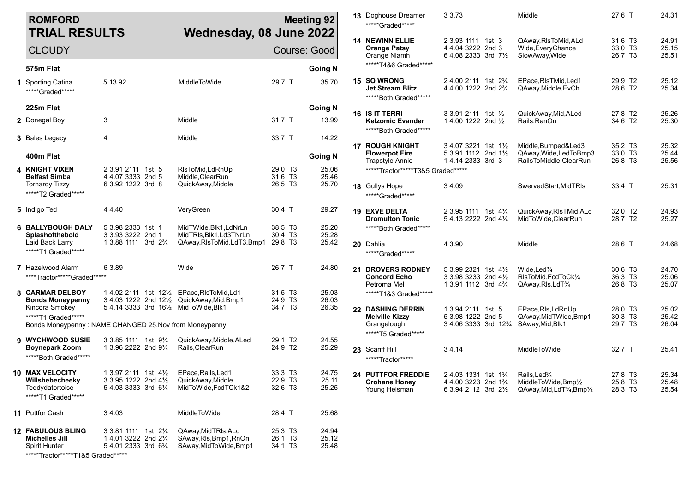| <b>ROMFORD</b><br><b>TRIAL RESULTS</b><br>Wednesday, 08 June 2022             |                                                                                                 |                                                                          |                                            | <b>Meeting 92</b>       |    | <b>13</b> Doghouse Dreamer<br>*****Graded******                | 3 3 7 3                                                                                                               | Middle                                                                                                                              | 27.6 T                                                | 24.31                   |
|-------------------------------------------------------------------------------|-------------------------------------------------------------------------------------------------|--------------------------------------------------------------------------|--------------------------------------------|-------------------------|----|----------------------------------------------------------------|-----------------------------------------------------------------------------------------------------------------------|-------------------------------------------------------------------------------------------------------------------------------------|-------------------------------------------------------|-------------------------|
| <b>CLOUDY</b>                                                                 |                                                                                                 |                                                                          |                                            | Course: Good            |    | <b>14 NEWINN ELLIE</b><br><b>Orange Patsy</b><br>Orange Niamh  | 2 3.93 1111 1st 3<br>4 4.04 3222 2nd 3<br>6 4.08 2333 3rd 71/2                                                        | QAway, RIsToMid, ALd<br>Wide, Every Chance<br>SlowAway, Wide                                                                        | 31.6 T <sub>3</sub><br>33.0 T3<br>26.7 T <sub>3</sub> | 24.91<br>25.15<br>25.51 |
| 575m Flat                                                                     |                                                                                                 |                                                                          |                                            | <b>Going N</b>          |    | *****T4&6 Graded*****                                          |                                                                                                                       |                                                                                                                                     |                                                       |                         |
| <b>1</b> Sporting Catina<br>*****Graded*****                                  | 5 13.92                                                                                         | MiddleToWide                                                             | 29.7 T                                     | 35.70                   |    | 15 SO WRONG<br>Jet Stream Blitz<br>*****Both Graded*****       | 2 4.00 2111 1st 2 <sup>3</sup> / <sub>4</sub><br>4 4.00 1222 2nd 2 <sup>3</sup> / <sub>4</sub>                        | EPace, RIsTMid, Led1<br>QAway,Middle,EvCh                                                                                           | 29.9 T2<br>28.6 T2                                    | 25.12<br>25.34          |
| 225m Flat                                                                     |                                                                                                 |                                                                          |                                            | <b>Going N</b>          |    | <b>16 IS IT TERRI</b>                                          | 3 3.91 2111 1st 1/2                                                                                                   | QuickAway, Mid, ALed                                                                                                                | 27.8 T2                                               | 25.26                   |
| 2 Donegal Boy                                                                 | 3                                                                                               | Middle                                                                   | 31.7 T                                     | 13.99                   |    | Kelzomic Evander<br>*****Both Graded*****                      | 1 4.00 1222 2nd $\frac{1}{2}$                                                                                         | Rails.RanOn                                                                                                                         | 34.6 T2                                               | 25.30                   |
| 3 Bales Legacy                                                                | 4                                                                                               | Middle                                                                   | 33.7 T                                     | 14.22                   |    | <b>17 ROUGH KNIGHT</b>                                         | 3 4.07 3221 1st 1½                                                                                                    | Middle, Bumped&Led3                                                                                                                 | 35.2 T <sub>3</sub>                                   | 25.32                   |
| 400m Flat                                                                     |                                                                                                 |                                                                          |                                            | <b>Going N</b>          |    | <b>Flowerpot Fire</b><br><b>Trapstyle Annie</b>                | 5 3.91 1112 2nd 11/2<br>14.14 2333 3rd 3                                                                              | QAway, Wide, Led To Bmp3<br>RailsToMiddle,ClearRun                                                                                  | 33.0 T3<br>26.8 T <sub>3</sub>                        | 25.44<br>25.56          |
| 4 KNIGHT VIXEN<br><b>Belfast Simba</b>                                        | 2 3.91 2111 1st 5<br>4 4.07 3333 2nd 5                                                          | RIsToMid, LdRnUp<br>Middle, ClearRun                                     | 29.0 T <sub>3</sub><br>31.6 T3             | 25.06<br>25.46          |    | *****Tractor*****T3&5 Graded*****                              |                                                                                                                       |                                                                                                                                     |                                                       |                         |
| <b>Tornaroy Tizzy</b><br>*****T2 Graded******                                 | 6 3.92 1222 3rd 8                                                                               | QuickAway, Middle                                                        | 26.5 T3                                    | 25.70                   |    | 18 Gullys Hope<br>*****Graded******                            | 34.09                                                                                                                 | SwervedStart.MidTRIs                                                                                                                | 33.4 T                                                | 25.31                   |
| 5 Indigo Ted                                                                  | 44.40                                                                                           | VeryGreen                                                                | 30.4 T                                     | 29.27                   |    | <b>19 EXVE DELTA</b><br><b>Dromulton Tonic</b>                 | 2 3.95 1111 1st 41/4<br>5 4.13 2222 2nd 41/4                                                                          | QuickAway, RIsTMid, ALd<br>MidToWide, ClearRun                                                                                      | 32.0 T <sub>2</sub><br>28.7 T2                        | 24.93<br>25.27          |
| <b>6 BALLYBOUGH DALY</b><br>Splashofthebold                                   | 5 3.98 2333 1st 1<br>3 3.93 3222 2nd 1                                                          | MidTWide, Blk1, LdNrLn<br>MidTRIs.Blk1.Ld3TNrLn                          | 38.5 T3<br>30.4 T <sub>3</sub>             | 25.20<br>25.28          |    | ******Both Graded******                                        |                                                                                                                       |                                                                                                                                     |                                                       |                         |
| Laid Back Larry<br>******T1 Graded******                                      | 1 3.88 1111 3rd 2 <sup>3</sup> / <sub>4</sub>                                                   | QAway, RIs To Mid, Ld T3, Bmp1                                           | 29.8 T3                                    | 25.42                   | 20 | Dahlia<br>*****Graded*****                                     | 4 3.90                                                                                                                | Middle                                                                                                                              | 28.6 T                                                | 24.68                   |
| <b>7</b> Hazelwood Alarm<br>****Tractor*****Graded*****                       | 6 3.89                                                                                          | Wide                                                                     | 26.7 T                                     | 24.80                   |    | <b>21 DROVERS RODNEY</b><br><b>Concord Echo</b><br>Petroma Mel | 5 3.99 2321 1st 41/2<br>3 3.98 3233 2nd 41/2<br>1 3.91 1112 3rd 4 <sup>3</sup> / <sub>4</sub>                         | Wide, Led <sup>3</sup> / <sub>4</sub><br>RIsToMid, FcdToCk1/4<br>QAway, RIs, LdT <sup>3</sup> /4                                    | 30.6 T3<br>36.3 T3<br>26.8 T <sub>3</sub>             | 24.70<br>25.06<br>25.07 |
| 8 CARMAR DELBOY<br><b>Bonds Moneypenny</b>                                    | 1 4.02 2111 1st 121/2 EPace, RIsToMid, Ld1<br>3 4.03 1222 2nd 121/2 QuickAway, Mid, Bmp1        |                                                                          | 31.5 T <sub>3</sub><br>24.9 T3             | 25.03<br>26.03          |    | *****T1&3 Graded*****                                          |                                                                                                                       |                                                                                                                                     |                                                       |                         |
| Kincora Smokey<br>******T1 Graded******                                       | 5 4.14 3333 3rd 161/2 MidToWide, Blk1<br>Bonds Moneypenny: NAME CHANGED 25. Nov from Moneypenny |                                                                          | 34.7 T <sub>3</sub>                        | 26.35                   |    | 22 DASHING DERRIN<br><b>Melville Kizzy</b><br>Grangelough      | 1 3.94 2111 1st 5<br>5 3.98 1222 2nd 5<br>3 4.06 3333 3rd 12 <sup>3</sup> / <sub>4</sub>                              | EPace, RIs, LdRnUp<br>QAway, MidTWide, Bmp1<br>SAway, Mid, Blk1                                                                     | 28.0 T <sub>3</sub><br>30.3 T3<br>29.7 T3             | 25.02<br>25.42<br>26.04 |
|                                                                               |                                                                                                 |                                                                          |                                            |                         |    | ******T5 Graded******                                          |                                                                                                                       |                                                                                                                                     |                                                       |                         |
| 9 WYCHWOOD SUSIE<br><b>Boynepark Zoom</b><br>*****Both Graded*****            | 3 3.85 1111 1st 91/4<br>1 3.96 2222 2nd 91/4                                                    | QuickAway, Middle, ALed<br>Rails, Clear Run                              | 29.1 T <sub>2</sub><br>24.9 T <sub>2</sub> | 24.55<br>25.29          |    | 23 Scariff Hill<br>*****Tractor*****                           | 34.14                                                                                                                 | <b>MiddleToWide</b>                                                                                                                 | 32.7 T                                                | 25.41                   |
| 10 MAX VELOCITY<br>Willshebecheeky<br>Teddydatortoise<br>*****T1 Graded****** | 1 3.97 2111 1st 4½<br>3 3.95 1222 2nd 41/2<br>5 4.03 3333 3rd 61/4                              | EPace, Rails, Led1<br>QuickAway, Middle<br>MidToWide,FcdTCk1&2           | 33.3 T3<br>22.9 T <sub>3</sub><br>32.6 T3  | 24.75<br>25.11<br>25.25 |    | 24 PUTTFOR FREDDIE<br><b>Crohane Honey</b><br>Young Heisman    | 24.03 1331 1st 1 <sup>3</sup> / <sub>4</sub><br>4 4.00 3223 2nd 1 <sup>3</sup> / <sub>4</sub><br>6 3.94 2112 3rd 21/2 | Rails, Led <sup>3</sup> /4<br>MiddleToWide, Bmp1/2<br>QAway, Mid, LdT <sup>3</sup> / <sub>4</sub> , Bmp <sup>1</sup> / <sub>2</sub> | 27.8 T3<br>25.8 T3<br>28.3 T3                         | 25.34<br>25.48<br>25.54 |
| <b>11</b> Puttfor Cash                                                        | 3 4.03                                                                                          | MiddleToWide                                                             | 28.4 T                                     | 25.68                   |    |                                                                |                                                                                                                       |                                                                                                                                     |                                                       |                         |
| <b>12 FABULOUS BLING</b><br><b>Michelles Jill</b><br><b>Spirit Hunter</b>     | 3 3.81 1111 1st 21/4<br>1 4.01 3222 2nd 21/4<br>5 4.01 2333 3rd 6 <sup>3</sup> / <sub>4</sub>   | QAway, Mid TRIs, ALd<br>SAway, RIs, Bmp1, RnOn<br>SAway, MidToWide, Bmp1 | 25.3 T3<br>26.1 T <sub>3</sub><br>34.1 T3  | 24.94<br>25.12<br>25.48 |    |                                                                |                                                                                                                       |                                                                                                                                     |                                                       |                         |

\*\*\*\*\*Tractor\*\*\*\*\*T1&5 Graded\*\*\*\*\*